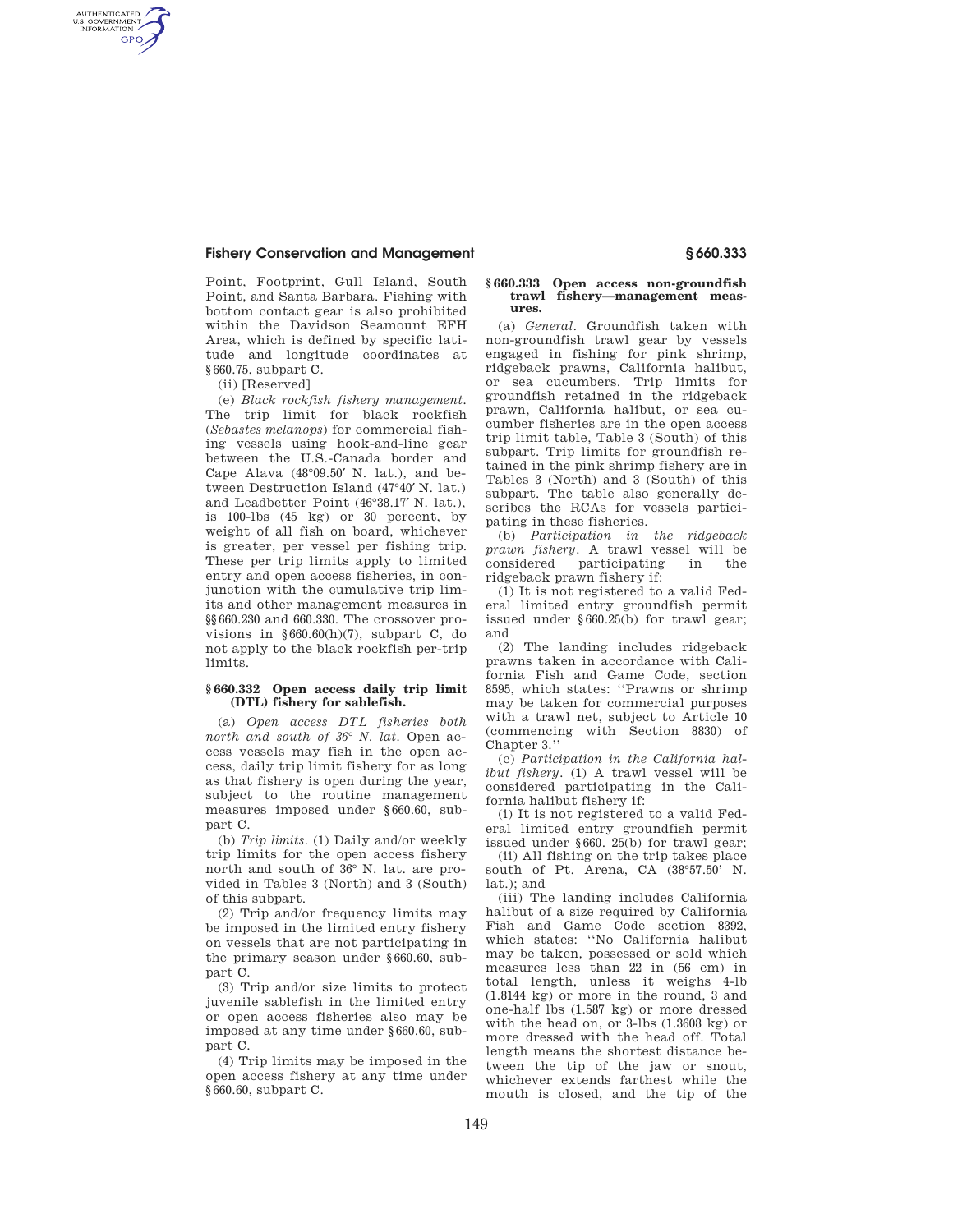## **Fishery Conservation and Management § 660.333**

Point, Footprint, Gull Island, South Point, and Santa Barbara. Fishing with bottom contact gear is also prohibited within the Davidson Seamount EFH Area, which is defined by specific latitude and longitude coordinates at §660.75, subpart C.

(ii) [Reserved]

AUTHENTICATED<br>U.S. GOVERNMENT<br>INFORMATION **GPO** 

> (e) *Black rockfish fishery management.*  The trip limit for black rockfish (*Sebastes melanops*) for commercial fishing vessels using hook-and-line gear between the U.S.-Canada border and Cape Alava (48°09.50′ N. lat.), and between Destruction Island (47°40′ N. lat.) and Leadbetter Point (46°38.17′ N. lat.), is 100-lbs (45 kg) or 30 percent, by weight of all fish on board, whichever is greater, per vessel per fishing trip. These per trip limits apply to limited entry and open access fisheries, in conjunction with the cumulative trip limits and other management measures in §§660.230 and 660.330. The crossover provisions in §660.60(h)(7), subpart C, do not apply to the black rockfish per-trip limits.

## **§ 660.332 Open access daily trip limit (DTL) fishery for sablefish.**

(a) *Open access DTL fisheries both north and south of 36*° *N. lat.* Open access vessels may fish in the open access, daily trip limit fishery for as long as that fishery is open during the year, subject to the routine management measures imposed under §660.60, subpart C.

(b) *Trip limits.* (1) Daily and/or weekly trip limits for the open access fishery north and south of 36° N. lat. are provided in Tables 3 (North) and 3 (South) of this subpart.

(2) Trip and/or frequency limits may be imposed in the limited entry fishery on vessels that are not participating in the primary season under §660.60, subpart C.

(3) Trip and/or size limits to protect juvenile sablefish in the limited entry or open access fisheries also may be imposed at any time under §660.60, subpart C.

(4) Trip limits may be imposed in the open access fishery at any time under §660.60, subpart C.

### **§ 660.333 Open access non-groundfish trawl fishery—management measures.**

(a) *General.* Groundfish taken with non-groundfish trawl gear by vessels engaged in fishing for pink shrimp, ridgeback prawns, California halibut, or sea cucumbers. Trip limits for groundfish retained in the ridgeback prawn, California halibut, or sea cucumber fisheries are in the open access trip limit table, Table 3 (South) of this subpart. Trip limits for groundfish retained in the pink shrimp fishery are in Tables 3 (North) and 3 (South) of this subpart. The table also generally describes the RCAs for vessels participating in these fisheries.

(b) *Participation in the ridgeback prawn fishery.* A trawl vessel will be participating ridgeback prawn fishery if:

(1) It is not registered to a valid Federal limited entry groundfish permit issued under §660.25(b) for trawl gear; and

(2) The landing includes ridgeback prawns taken in accordance with California Fish and Game Code, section 8595, which states: ''Prawns or shrimp may be taken for commercial purposes with a trawl net, subject to Article 10 (commencing with Section 8830) of Chapter 3.''

(c) *Participation in the California halibut fishery.* (1) A trawl vessel will be considered participating in the California halibut fishery if:

(i) It is not registered to a valid Federal limited entry groundfish permit issued under §660. 25(b) for trawl gear;

(ii) All fishing on the trip takes place south of Pt. Arena, CA (38°57.50' N. lat.); and

(iii) The landing includes California halibut of a size required by California Fish and Game Code section 8392, which states: ''No California halibut may be taken, possessed or sold which measures less than 22 in (56 cm) in total length, unless it weighs 4-lb (1.8144 kg) or more in the round, 3 and one-half lbs (1.587 kg) or more dressed with the head on, or 3-lbs (1.3608 kg) or more dressed with the head off. Total length means the shortest distance between the tip of the jaw or snout, whichever extends farthest while the mouth is closed, and the tip of the